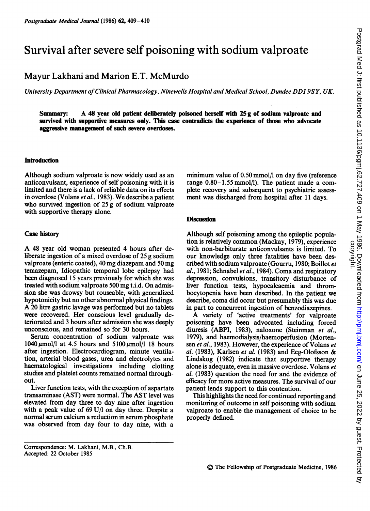# Survival after severe self poisoning with sodium valproate

## Mayur Lakhani and Marion E.T. McMurdo

University Department ofClinical Pharmacology, Ninewells Hospital and Medical School, Dundee DDI 9SY, UK.

Summary: A <sup>48</sup> year old patient deliberately poisoned herself with <sup>25</sup> <sup>g</sup> of sodium valproate and survived with supportive measures only. This case contradicts the experience of those who advocate aggressive management of such severe overdoses.

#### **Introduction**

Although sodium valproate is now widely used as an anticonvulsant, experience of self poisoning with it is limited and there is a lack of reliable data on its effects in overdose (Volans et al., 1983). We describe <sup>a</sup> patient who survived ingestion of 25 g of sodium valproate with supportive therapy alone.

#### Case history

A <sup>48</sup> year old woman presented <sup>4</sup> hours after deliberate ingestion of a mixed overdose of 25 g sodium valproate (enteric coated), 40 mg diazepam and 50 mg temazepam, Idiopathic temporal lobe epilepsy had been diagnosed 15 years previously for which she was treated with sodium valproate 500 mg t.i.d. On admission she was drowsy but rouseable, with generalized hypotonicity but no other abnormal physical findings. A <sup>20</sup> litre gastric lavage was performed but no tablets were recovered. Her conscious level gradually deteriorated and 3 hours after admission she was deeply unconscious, and remained so for 30 hours.

Serum concentration of sodium valproate was  $1040 \mu$ mol/l at 4.5 hours and 5100  $\mu$ mol/l 18 hours after ingestion. Electrocardiogram, minute ventilation, arterial blood gases, urea and electrolytes and haematological investigations including clotting studies and platelet counts remained normal throughout.

Liver function tests, with the exception of aspartate transaminase (AST) were normal. The AST level was elevated from day three to day nine after ingestion with a peak value of 69 U/I on day three. Despite a normal serum calcium a reduction in serum phosphate was observed from day four to day nine, with a minimum value of 0.50 mmol/l on day five (reference range 0.80-1.55 mmol/l). The patient made a complete recovery and subsequent to psychiatric assessment was discharged from hospital after 11 days.

### **Discussion**

Although self poisoning among the epileptic population is relatively common (Mackay, 1979), experience with non-barbiturate anticonvulsants is limited. To our knowledge only three fatalities have been described with sodium valproate (Gourru, 1980; Boillot et al., 1981; Schnabel et al., 1984). Coma and respiratory depression, convulsions, transitory disturbance of liver function tests, hypocalcaemia and thrombocytopenia have been described. In the patient we describe, coma did occur but presumably this was due in part to concurrent ingestion of benzodiazepines.

A variety of 'active treatments' for valproate poisoning have been advocated including forced diuresis (ABPI, 1983), naloxone (Steinman et al., 1979), and haemodialysis/haemoperfusion (Mortensen et al., 1983). However, the experience of Volans et al. (1983), Karlsen et al. (1983) and Eeg-Olofsson & Lindskog (1982) indicate that supportive therapy alone is adequate, even in massive overdose. Volans et al. (1983) question the need for and the evidence of efficacy for more active measures. The survival of our patient lends support to this contention.

This highlights the need for continued reporting and monitoring of outcome in self poisoning with sodium valproate to enable the management of choice to be properly defined.

Correspondence: M. Lakhani, M.B., Ch.B. Accepted: 22 October 1985